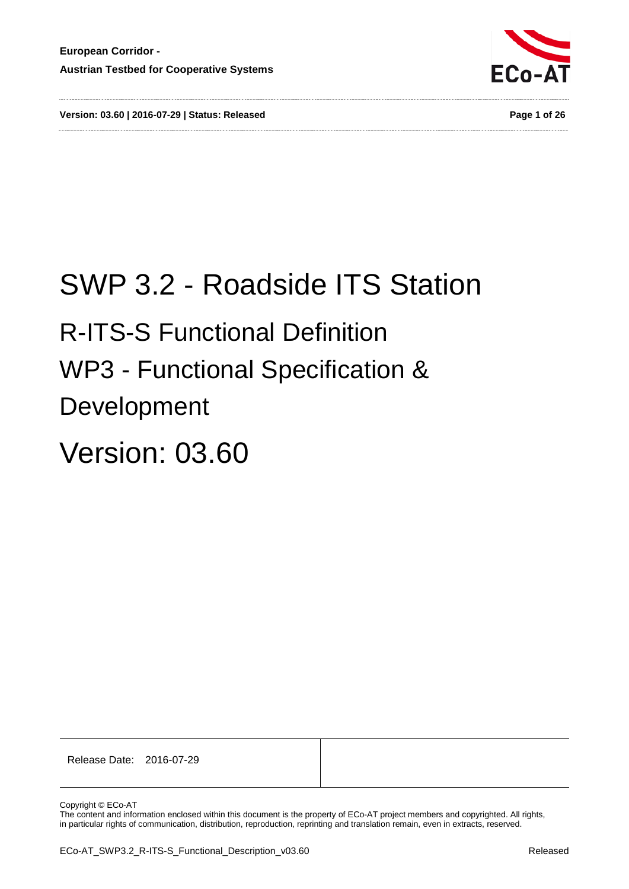



# SWP 3.2 - Roadside ITS Station

# <span id="page-0-0"></span>R-ITS-S Functional Definition

# <span id="page-0-1"></span>WP3 - Functional Specification &

Development

# Version: 03.60

Release Date: 2016-07-29

Copyright © ECo-AT

The content and information enclosed within this document is the property of ECo-AT project members and copyrighted. All rights, in particular rights of communication, distribution, reproduction, reprinting and translation remain, even in extracts, reserved.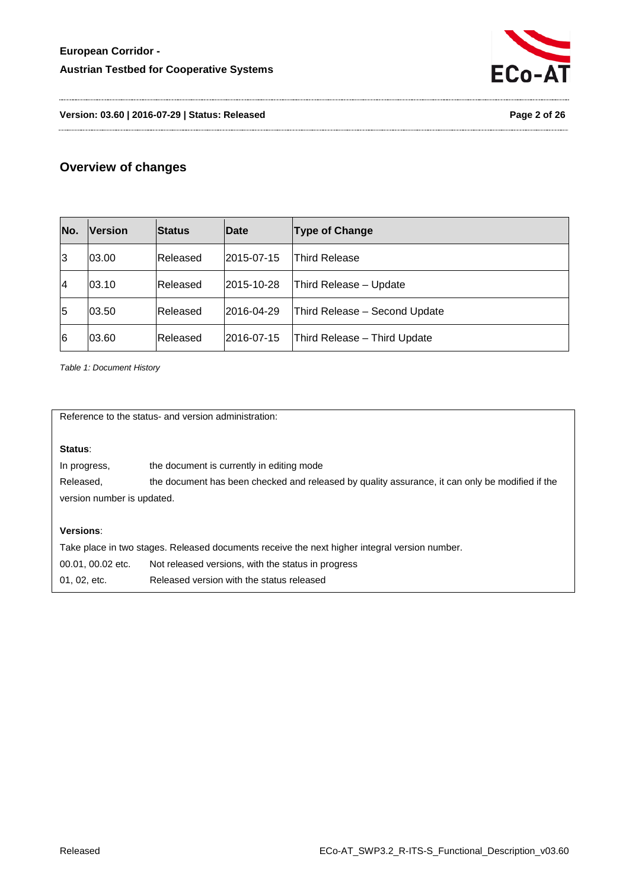

**Version: 03.60 | 2016-07-29 | Status: Released Page 2 of 26**

# **Overview of changes**

| No. | <b>Version</b> | <b>Status</b> | Date       | <b>Type of Change</b>         |
|-----|----------------|---------------|------------|-------------------------------|
| 3   | 03.00          | Released      | 2015-07-15 | <b>Third Release</b>          |
| 14  | 03.10          | Released      | 2015-10-28 | Third Release - Update        |
| 5   | 03.50          | Released      | 2016-04-29 | Third Release - Second Update |
| 6   | 03.60          | Released      | 2016-07-15 | Third Release - Third Update  |

<span id="page-1-0"></span>*Table 1: Document History*

Reference to the status- and version administration:

#### **Status**:

| In progress,               | the document is currently in editing mode                                                       |  |
|----------------------------|-------------------------------------------------------------------------------------------------|--|
| Released.                  | the document has been checked and released by quality assurance, it can only be modified if the |  |
| version number is updated. |                                                                                                 |  |

#### **Versions**:

| Take place in two stages. Released documents receive the next higher integral version number. |                                                    |  |  |
|-----------------------------------------------------------------------------------------------|----------------------------------------------------|--|--|
| 00.01, 00.02 etc.                                                                             | Not released versions, with the status in progress |  |  |
| 01, 02, etc.                                                                                  | Released version with the status released          |  |  |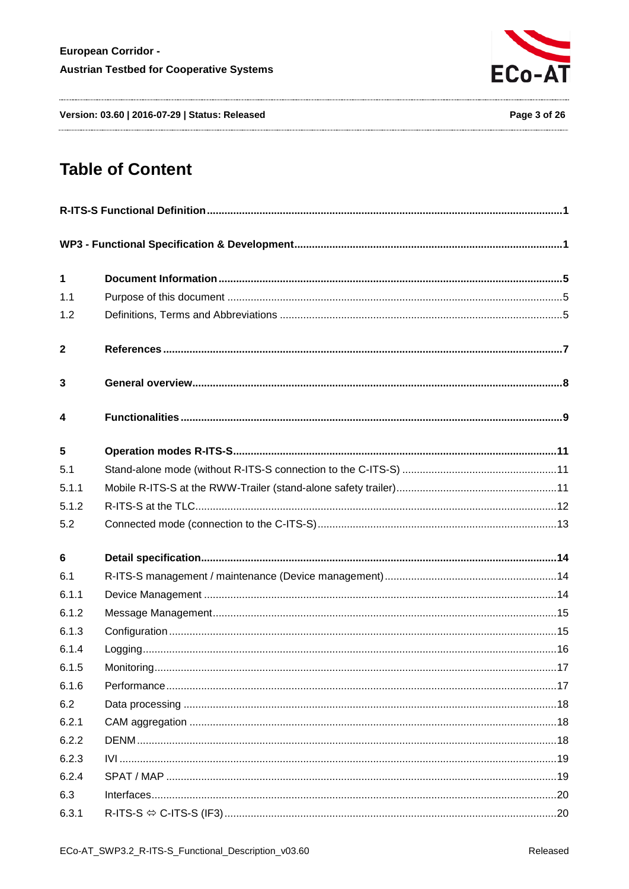

Version: 03.60 | 2016-07-29 | Status: Released

# **Table of Content**

| 1                       |  |  |
|-------------------------|--|--|
| 1.1                     |  |  |
| 1.2                     |  |  |
| $\mathbf{2}$            |  |  |
| 3                       |  |  |
| $\overline{\mathbf{4}}$ |  |  |
| 5                       |  |  |
| 5.1                     |  |  |
| 5.1.1                   |  |  |
| 5.1.2                   |  |  |
| 5.2                     |  |  |
| 6                       |  |  |
| 6.1                     |  |  |
| 6.1.1                   |  |  |
| 6.1.2                   |  |  |
| 6.1.3                   |  |  |
| 6.1.4                   |  |  |
| 6.1.5                   |  |  |
| 6.1.6                   |  |  |
| 6.2                     |  |  |
| 6.2.1                   |  |  |
| 6.2.2                   |  |  |
| 6.2.3                   |  |  |
| 6.2.4                   |  |  |
| 6.3                     |  |  |
| 6.3.1                   |  |  |
|                         |  |  |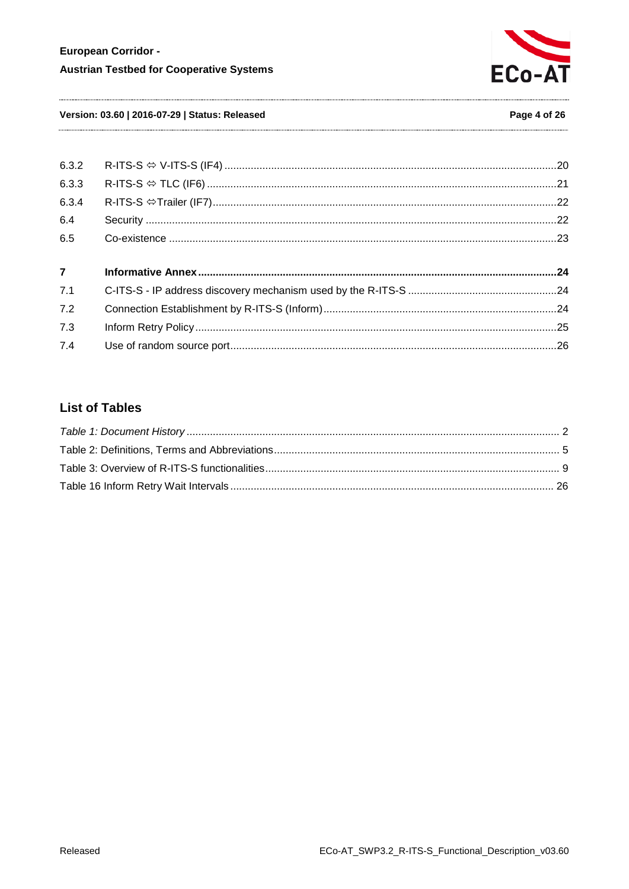

#### Version: 03.60 | 2016-07-29 | Status: Released

#### Page 4 of 26

| 6.3.2          |  |
|----------------|--|
| 6.3.3          |  |
| 6.3.4          |  |
| 6.4            |  |
| 6.5            |  |
| $\overline{7}$ |  |
| 7.1            |  |
| 7.2            |  |
| 7.3            |  |
|                |  |

# **List of Tables**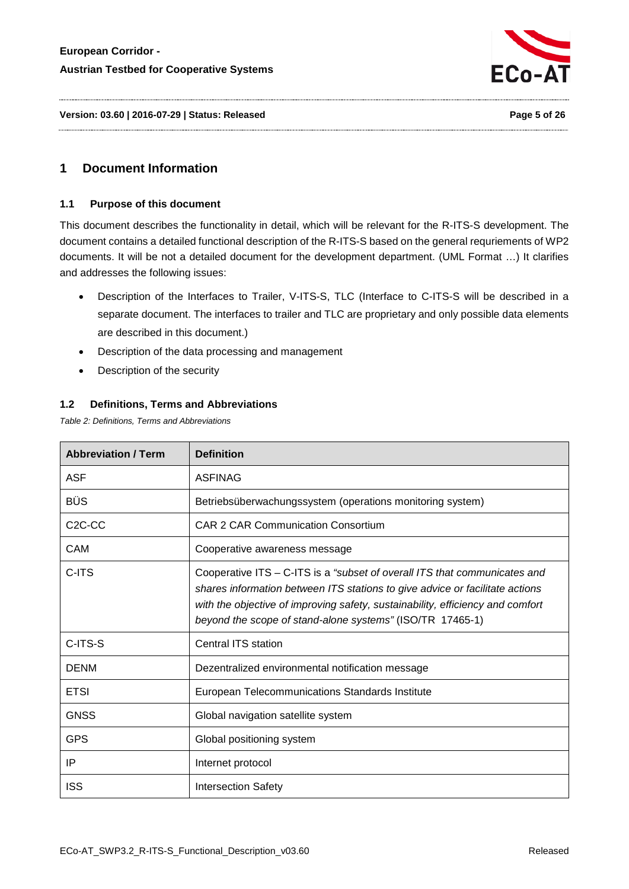

**Version: 03.60 | 2016-07-29 | Status: Released Page 5 of 26**

# <span id="page-4-1"></span><span id="page-4-0"></span>**1 Document Information**

#### **1.1 Purpose of this document**

This document describes the functionality in detail, which will be relevant for the R-ITS-S development. The document contains a detailed functional description of the R-ITS-S based on the general requriements of WP2 documents. It will be not a detailed document for the development department. (UML Format …) It clarifies and addresses the following issues:

- Description of the Interfaces to Trailer, V-ITS-S, TLC (Interface to C-ITS-S will be described in a separate document. The interfaces to trailer and TLC are proprietary and only possible data elements are described in this document.)
- Description of the data processing and management
- Description of the security

#### <span id="page-4-2"></span>**1.2 Definitions, Terms and Abbreviations**

<span id="page-4-3"></span>*Table 2: Definitions, Terms and Abbreviations*

| <b>Abbreviation / Term</b>       | <b>Definition</b>                                                                                                                                                                                                                                                                                        |
|----------------------------------|----------------------------------------------------------------------------------------------------------------------------------------------------------------------------------------------------------------------------------------------------------------------------------------------------------|
| <b>ASF</b>                       | <b>ASFINAG</b>                                                                                                                                                                                                                                                                                           |
| <b>BÜS</b>                       | Betriebsüberwachungssystem (operations monitoring system)                                                                                                                                                                                                                                                |
| C <sub>2</sub> C <sub>-C</sub> C | CAR 2 CAR Communication Consortium                                                                                                                                                                                                                                                                       |
| CAM                              | Cooperative awareness message                                                                                                                                                                                                                                                                            |
| C-ITS                            | Cooperative ITS - C-ITS is a "subset of overall ITS that communicates and<br>shares information between ITS stations to give advice or facilitate actions<br>with the objective of improving safety, sustainability, efficiency and comfort<br>beyond the scope of stand-alone systems" (ISO/TR 17465-1) |
| C-ITS-S                          | Central ITS station                                                                                                                                                                                                                                                                                      |
| <b>DENM</b>                      | Dezentralized environmental notification message                                                                                                                                                                                                                                                         |
| <b>ETSI</b>                      | European Telecommunications Standards Institute                                                                                                                                                                                                                                                          |
| <b>GNSS</b>                      | Global navigation satellite system                                                                                                                                                                                                                                                                       |
| <b>GPS</b>                       | Global positioning system                                                                                                                                                                                                                                                                                |
| ΙP                               | Internet protocol                                                                                                                                                                                                                                                                                        |
| <b>ISS</b>                       | <b>Intersection Safety</b>                                                                                                                                                                                                                                                                               |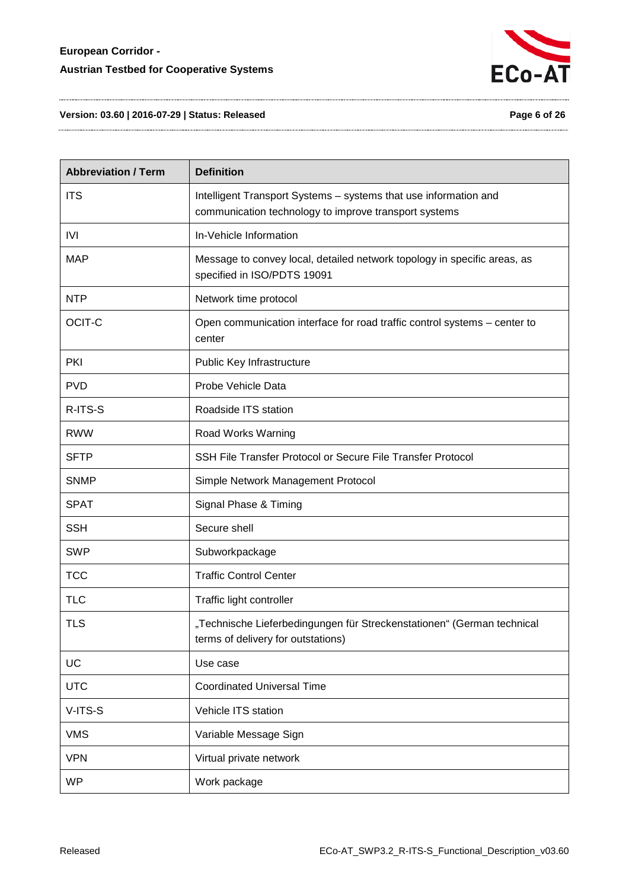

**Version: 03.60 | 2016-07-29 | Status: Released Page 6 of 26**

| <b>Abbreviation / Term</b> | <b>Definition</b>                                                                                                         |
|----------------------------|---------------------------------------------------------------------------------------------------------------------------|
| <b>ITS</b>                 | Intelligent Transport Systems - systems that use information and<br>communication technology to improve transport systems |
| IVI                        | In-Vehicle Information                                                                                                    |
| <b>MAP</b>                 | Message to convey local, detailed network topology in specific areas, as<br>specified in ISO/PDTS 19091                   |
| <b>NTP</b>                 | Network time protocol                                                                                                     |
| OCIT-C                     | Open communication interface for road traffic control systems – center to<br>center                                       |
| <b>PKI</b>                 | Public Key Infrastructure                                                                                                 |
| <b>PVD</b>                 | Probe Vehicle Data                                                                                                        |
| R-ITS-S                    | Roadside ITS station                                                                                                      |
| <b>RWW</b>                 | Road Works Warning                                                                                                        |
| <b>SFTP</b>                | SSH File Transfer Protocol or Secure File Transfer Protocol                                                               |
| <b>SNMP</b>                | Simple Network Management Protocol                                                                                        |
| <b>SPAT</b>                | Signal Phase & Timing                                                                                                     |
| <b>SSH</b>                 | Secure shell                                                                                                              |
| <b>SWP</b>                 | Subworkpackage                                                                                                            |
| <b>TCC</b>                 | <b>Traffic Control Center</b>                                                                                             |
| <b>TLC</b>                 | Traffic light controller                                                                                                  |
| <b>TLS</b>                 | "Technische Lieferbedingungen für Streckenstationen" (German technical<br>terms of delivery for outstations)              |
| UC                         | Use case                                                                                                                  |
| <b>UTC</b>                 | <b>Coordinated Universal Time</b>                                                                                         |
| V-ITS-S                    | Vehicle ITS station                                                                                                       |
| <b>VMS</b>                 | Variable Message Sign                                                                                                     |
| <b>VPN</b>                 | Virtual private network                                                                                                   |
| <b>WP</b>                  | Work package                                                                                                              |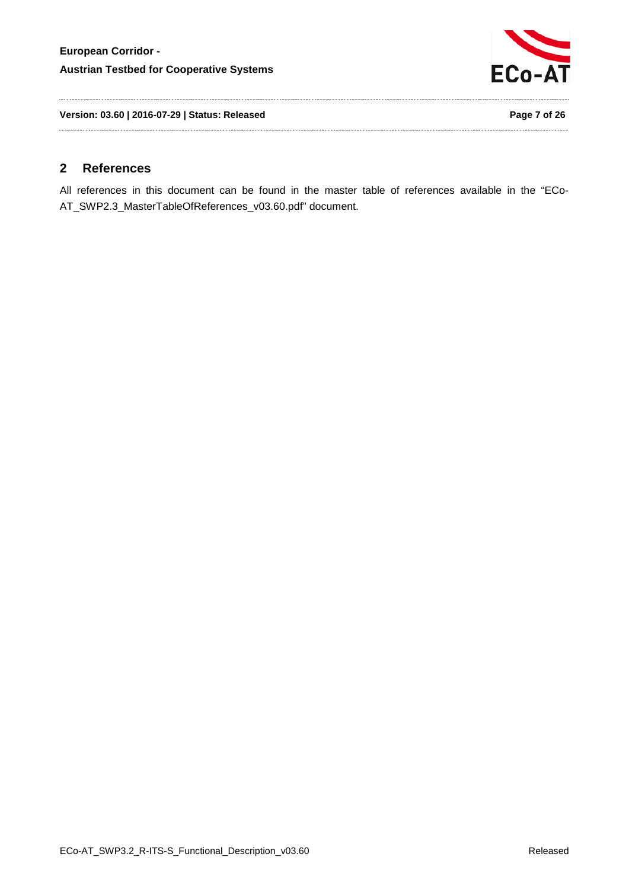

**Version: 03.60 | 2016-07-29 | Status: Released Page 7 of 26**

# <span id="page-6-0"></span>**2 References**

All references in this document can be found in the master table of references available in the "ECo-AT\_SWP2.3\_MasterTableOfReferences\_v03.60.pdf" document.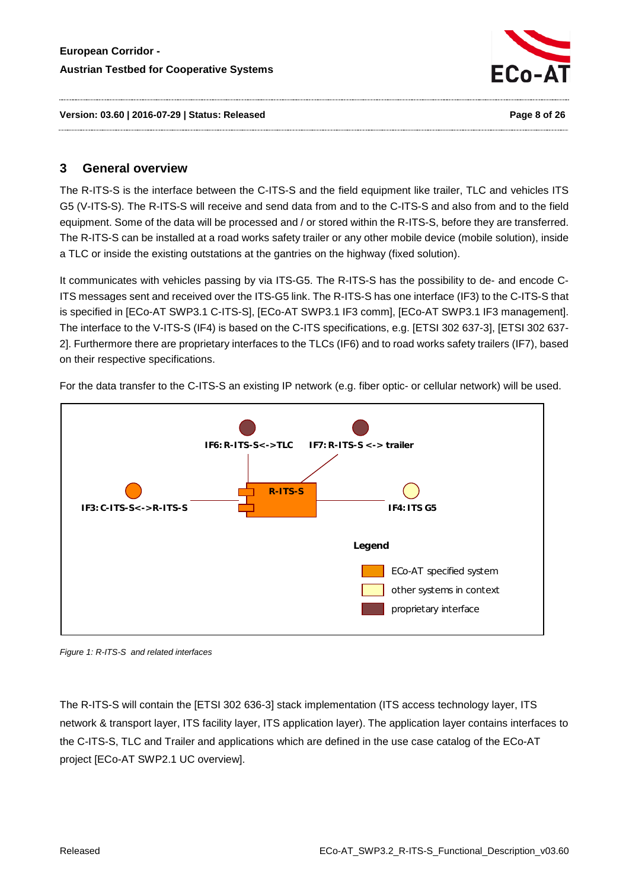

**Version: 03.60 | 2016-07-29 | Status: Released Page 8 of 26**

# <span id="page-7-0"></span>**3 General overview**

The R-ITS-S is the interface between the C-ITS-S and the field equipment like trailer, TLC and vehicles ITS G5 (V-ITS-S). The R-ITS-S will receive and send data from and to the C-ITS-S and also from and to the field equipment. Some of the data will be processed and / or stored within the R-ITS-S, before they are transferred. The R-ITS-S can be installed at a road works safety trailer or any other mobile device (mobile solution), inside a TLC or inside the existing outstations at the gantries on the highway (fixed solution).

It communicates with vehicles passing by via ITS-G5. The R-ITS-S has the possibility to de- and encode C-ITS messages sent and received over the ITS-G5 link. The R-ITS-S has one interface (IF3) to the C-ITS-S that is specified in [ECo-AT SWP3.1 C-ITS-S], [ECo-AT SWP3.1 IF3 comm], [ECo-AT SWP3.1 IF3 management]. The interface to the V-ITS-S (IF4) is based on the C-ITS specifications, e.g. [ETSI 302 637-3], [ETSI 302 637- 2]. Furthermore there are proprietary interfaces to the TLCs (IF6) and to road works safety trailers (IF7), based on their respective specifications.



For the data transfer to the C-ITS-S an existing IP network (e.g. fiber optic- or cellular network) will be used.

*Figure 1: R-ITS-S and related interfaces*

The R-ITS-S will contain the [ETSI 302 636-3] stack implementation (ITS access technology layer, ITS network & transport layer, ITS facility layer, ITS application layer). The application layer contains interfaces to the C-ITS-S, TLC and Trailer and applications which are defined in the use case catalog of the ECo-AT project [ECo-AT SWP2.1 UC overview].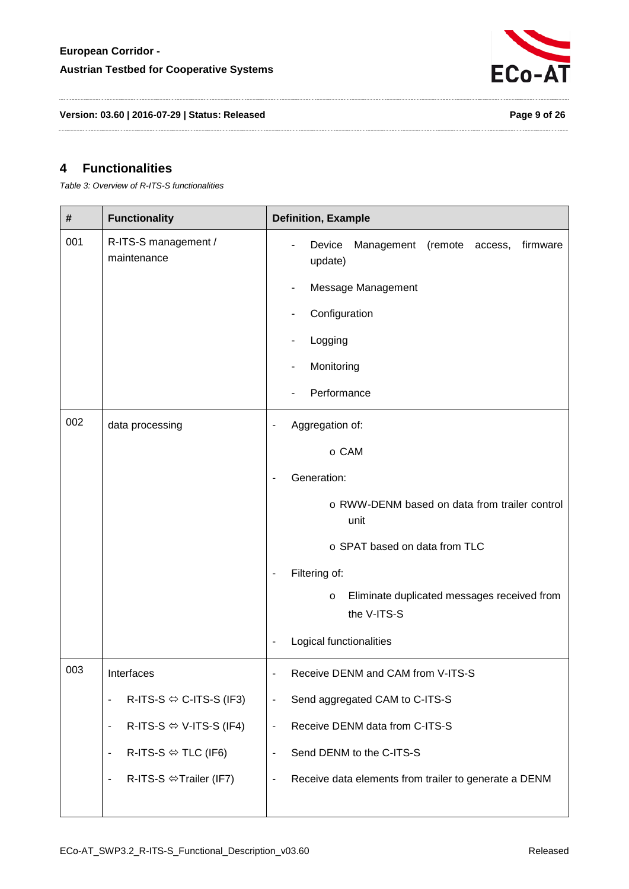

**Version: 03.60 | 2016-07-29 | Status: Released Page 9 of 26**

# <span id="page-8-0"></span>**4 Functionalities**

<span id="page-8-1"></span>*Table 3: Overview of R-ITS-S functionalities*

| #   | <b>Functionality</b>                         | <b>Definition, Example</b>                                                        |
|-----|----------------------------------------------|-----------------------------------------------------------------------------------|
| 001 | R-ITS-S management /<br>maintenance          | Device<br>Management<br>(remote<br>firmware<br>access,<br>update)                 |
|     |                                              | Message Management                                                                |
|     |                                              | Configuration                                                                     |
|     |                                              | Logging                                                                           |
|     |                                              | Monitoring                                                                        |
|     |                                              | Performance                                                                       |
| 002 | data processing                              | Aggregation of:<br>$\qquad \qquad \blacksquare$                                   |
|     |                                              | o CAM                                                                             |
|     |                                              | Generation:                                                                       |
|     |                                              | o RWW-DENM based on data from trailer control<br>unit                             |
|     |                                              | o SPAT based on data from TLC                                                     |
|     |                                              | Filtering of:                                                                     |
|     |                                              | Eliminate duplicated messages received from<br>$\circ$<br>the V-ITS-S             |
|     |                                              | Logical functionalities<br>$\overline{\phantom{a}}$                               |
| 003 | Interfaces                                   | Receive DENM and CAM from V-ITS-S                                                 |
|     | R-ITS-S $\Leftrightarrow$ C-ITS-S (IF3)<br>٠ | Send aggregated CAM to C-ITS-S<br>$\overline{\phantom{a}}$                        |
|     | R-ITS-S $\Leftrightarrow$ V-ITS-S (IF4)<br>- | Receive DENM data from C-ITS-S<br>$\qquad \qquad \blacksquare$                    |
|     | R-ITS-S $\Leftrightarrow$ TLC (IF6)<br>-     | Send DENM to the C-ITS-S<br>$\blacksquare$                                        |
|     | R-ITS-S $\Leftrightarrow$ Trailer (IF7)<br>- | Receive data elements from trailer to generate a DENM<br>$\overline{\phantom{a}}$ |
|     |                                              |                                                                                   |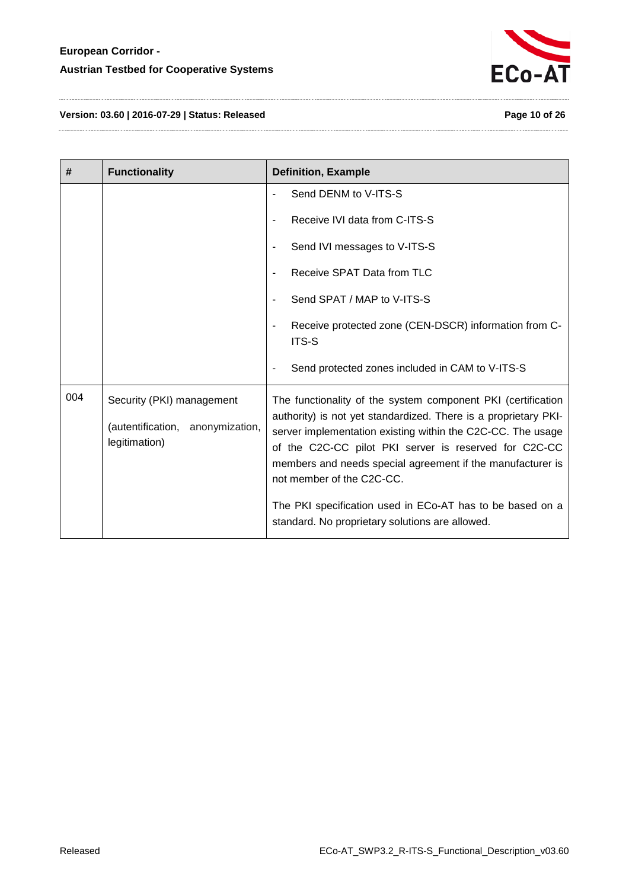

**Version: 03.60 | 2016-07-29 | Status: Released Page 10 of 26**

| #   | <b>Functionality</b>                                                           | <b>Definition, Example</b>                                                                                                                                                                                                                                                                                                                         |
|-----|--------------------------------------------------------------------------------|----------------------------------------------------------------------------------------------------------------------------------------------------------------------------------------------------------------------------------------------------------------------------------------------------------------------------------------------------|
|     |                                                                                | Send DENM to V-ITS-S                                                                                                                                                                                                                                                                                                                               |
|     |                                                                                | Receive IVI data from C-ITS-S                                                                                                                                                                                                                                                                                                                      |
|     |                                                                                | Send IVI messages to V-ITS-S                                                                                                                                                                                                                                                                                                                       |
|     |                                                                                | Receive SPAT Data from TLC<br>$\blacksquare$                                                                                                                                                                                                                                                                                                       |
|     |                                                                                | Send SPAT / MAP to V-ITS-S                                                                                                                                                                                                                                                                                                                         |
|     |                                                                                | Receive protected zone (CEN-DSCR) information from C-<br>ITS-S                                                                                                                                                                                                                                                                                     |
|     |                                                                                | Send protected zones included in CAM to V-ITS-S                                                                                                                                                                                                                                                                                                    |
| 004 | Security (PKI) management<br>(autentification, anonymization,<br>legitimation) | The functionality of the system component PKI (certification<br>authority) is not yet standardized. There is a proprietary PKI-<br>server implementation existing within the C2C-CC. The usage<br>of the C2C-CC pilot PKI server is reserved for C2C-CC<br>members and needs special agreement if the manufacturer is<br>not member of the C2C-CC. |
|     |                                                                                | The PKI specification used in ECo-AT has to be based on a<br>standard. No proprietary solutions are allowed.                                                                                                                                                                                                                                       |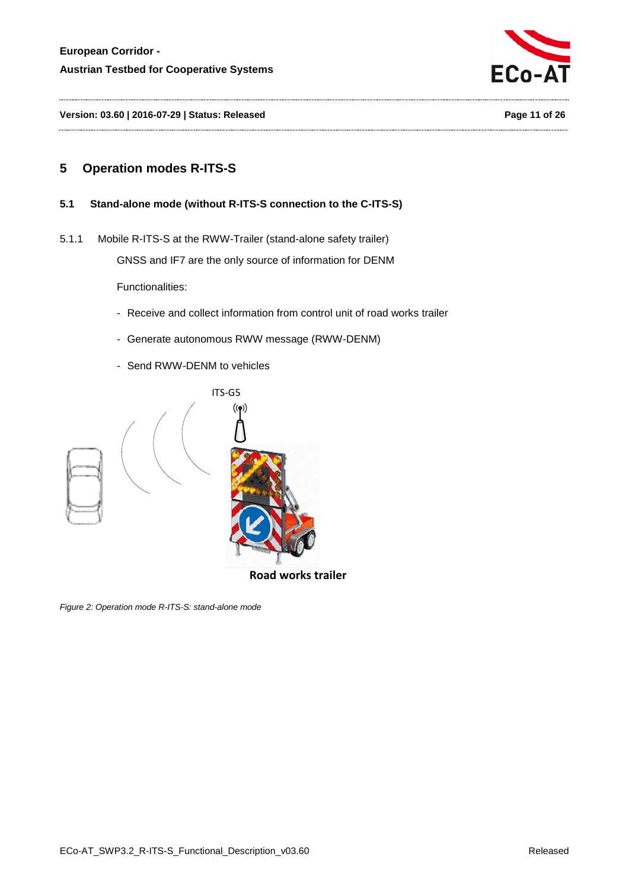

**Version: 03.60 | 2016-07-29 | Status: Released Page 11 of 26**

# <span id="page-10-1"></span><span id="page-10-0"></span>**5 Operation modes R-ITS-S**

#### <span id="page-10-2"></span>**5.1 Stand-alone mode (without R-ITS-S connection to the C-ITS-S)**

5.1.1 Mobile R-ITS-S at the RWW-Trailer (stand-alone safety trailer)

GNSS and IF7 are the only source of information for DENM

Functionalities:

- Receive and collect information from control unit of road works trailer
- Generate autonomous RWW message (RWW-DENM)
- Send RWW-DENM to vehicles



**Road works trailer**

*Figure 2: Operation mode R-ITS-S: stand-alone mode*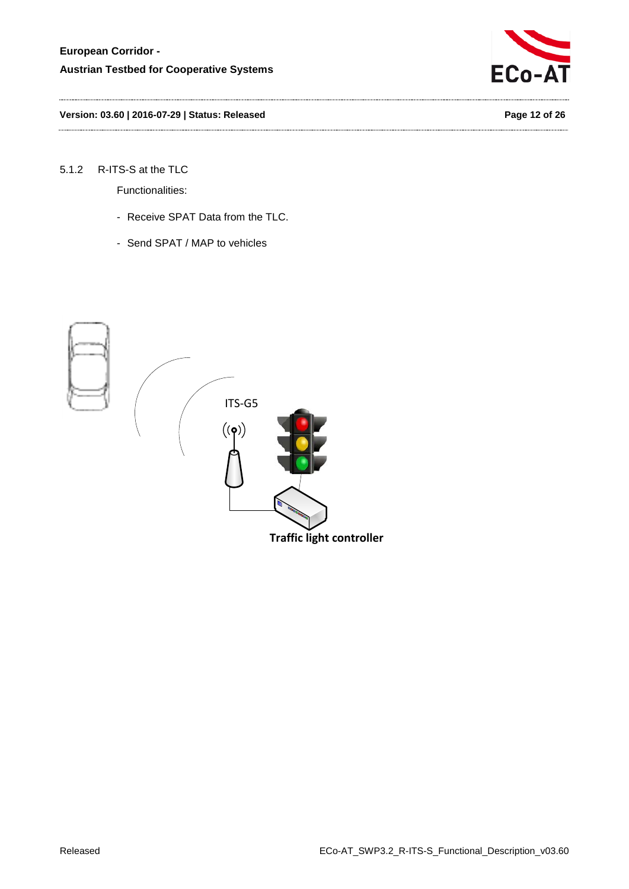

**Version: 03.60 | 2016-07-29 | Status: Released Page 12 of 26**

### <span id="page-11-0"></span>5.1.2 R-ITS-S at the TLC

Functionalities:

- Receive SPAT Data from the TLC.
- Send SPAT / MAP to vehicles

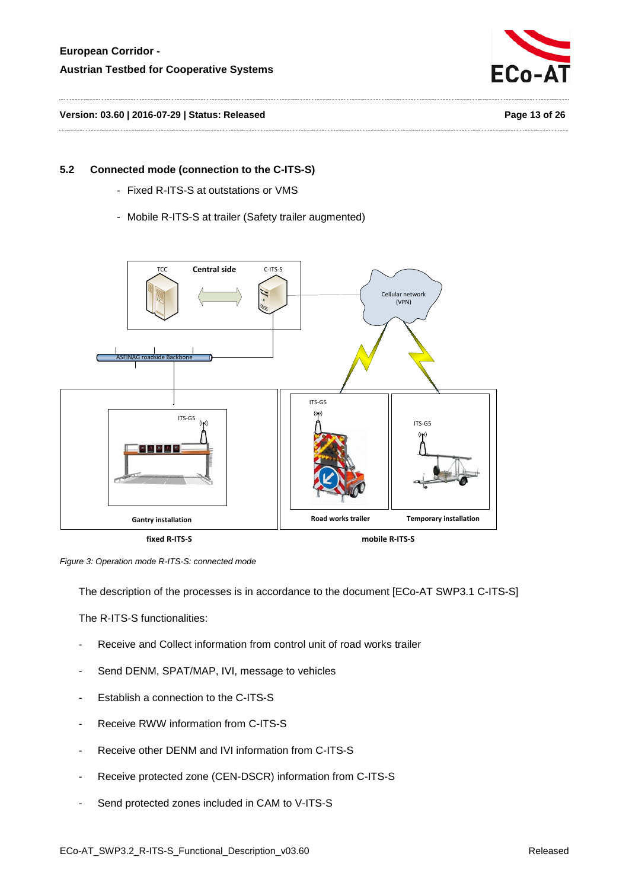

# <span id="page-12-0"></span>**5.2 Connected mode (connection to the C-ITS-S)**

- Fixed R-ITS-S at outstations or VMS
- Mobile R-ITS-S at trailer (Safety trailer augmented)





The description of the processes is in accordance to the document [ECo-AT SWP3.1 C-ITS-S]

The R-ITS-S functionalities:

- Receive and Collect information from control unit of road works trailer
- Send DENM, SPAT/MAP, IVI, message to vehicles
- Establish a connection to the C-ITS-S
- Receive RWW information from C-ITS-S
- Receive other DENM and IVI information from C-ITS-S
- Receive protected zone (CEN-DSCR) information from C-ITS-S
- Send protected zones included in CAM to V-ITS-S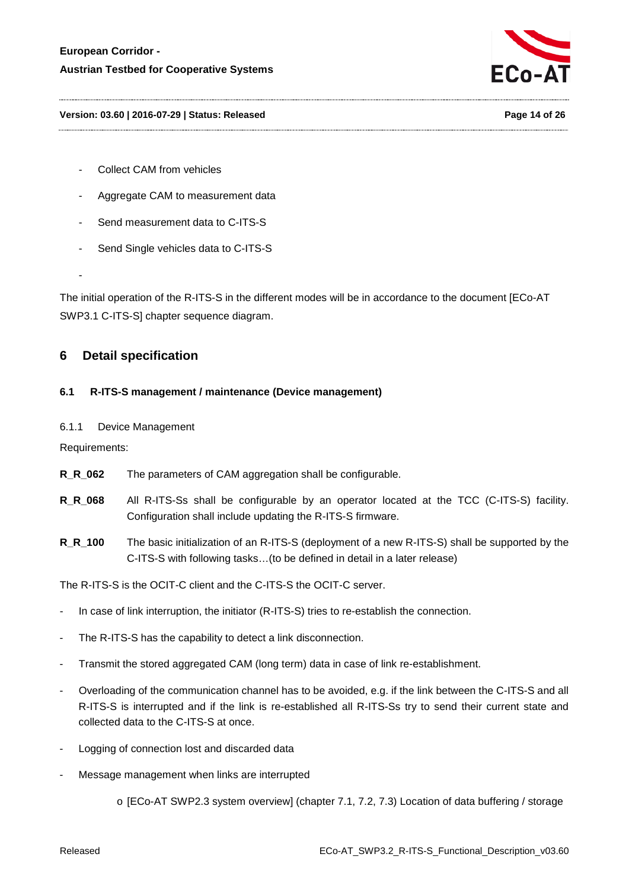

#### **Version: 03.60 | 2016-07-29 | Status: Released Page 14 of 26**

- Collect CAM from vehicles
- Aggregate CAM to measurement data
- Send measurement data to C-ITS-S
- Send Single vehicles data to C-ITS-S

-

The initial operation of the R-ITS-S in the different modes will be in accordance to the document [ECo-AT SWP3.1 C-ITS-S] chapter sequence diagram.

## <span id="page-13-1"></span><span id="page-13-0"></span>**6 Detail specification**

#### <span id="page-13-2"></span>**6.1 R-ITS-S management / maintenance (Device management)**

#### 6.1.1 Device Management

Requirements:

- **R\_R\_062** The parameters of CAM aggregation shall be configurable.
- **R\_R\_068** All R-ITS-Ss shall be configurable by an operator located at the TCC (C-ITS-S) facility. Configuration shall include updating the R-ITS-S firmware.
- **R\_R\_100** The basic initialization of an R-ITS-S (deployment of a new R-ITS-S) shall be supported by the C-ITS-S with following tasks…(to be defined in detail in a later release)

The R-ITS-S is the OCIT-C client and the C-ITS-S the OCIT-C server.

- In case of link interruption, the initiator (R-ITS-S) tries to re-establish the connection.
- The R-ITS-S has the capability to detect a link disconnection.
- Transmit the stored aggregated CAM (long term) data in case of link re-establishment.
- Overloading of the communication channel has to be avoided, e.g. if the link between the C-ITS-S and all R-ITS-S is interrupted and if the link is re-established all R-ITS-Ss try to send their current state and collected data to the C-ITS-S at once.
- Logging of connection lost and discarded data
- Message management when links are interrupted
	- o [ECo-AT SWP2.3 system overview] (chapter 7.1, 7.2, 7.3) Location of data buffering / storage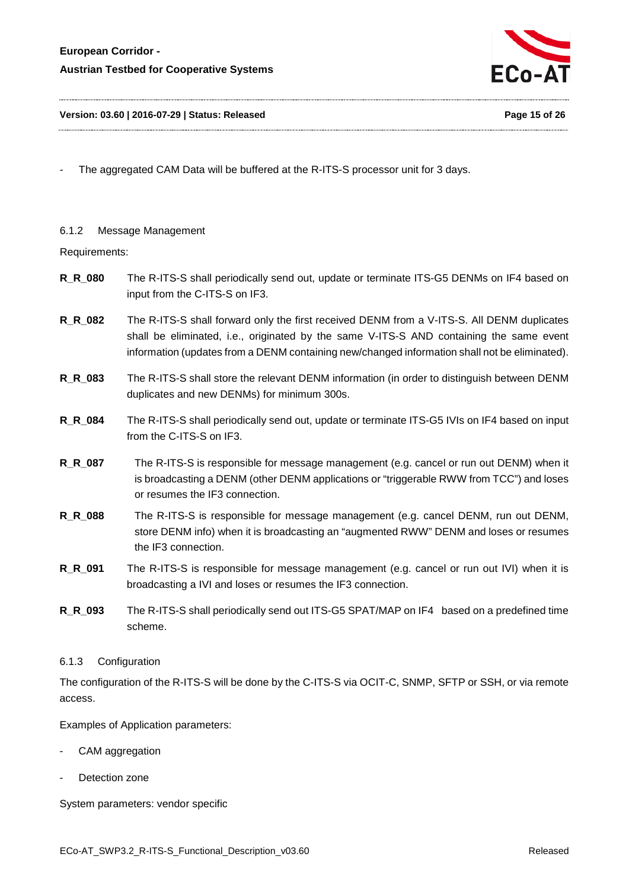

The aggregated CAM Data will be buffered at the R-ITS-S processor unit for 3 days.

#### <span id="page-14-0"></span>6.1.2 Message Management

Requirements:

- **R\_R\_080** The R-ITS-S shall periodically send out, update or terminate ITS-G5 DENMs on IF4 based on input from the C-ITS-S on IF3.
- **R\_R\_082** The R-ITS-S shall forward only the first received DENM from a V-ITS-S. All DENM duplicates shall be eliminated, i.e., originated by the same V-ITS-S AND containing the same event information (updates from a DENM containing new/changed information shall not be eliminated).
- **R\_R\_083** The R-ITS-S shall store the relevant DENM information (in order to distinguish between DENM duplicates and new DENMs) for minimum 300s.
- **R\_R\_084** The R-ITS-S shall periodically send out, update or terminate ITS-G5 IVIs on IF4 based on input from the C-ITS-S on IF3.
- **R\_R\_087** The R-ITS-S is responsible for message management (e.g. cancel or run out DENM) when it is broadcasting a DENM (other DENM applications or "triggerable RWW from TCC") and loses or resumes the IF3 connection.
- **R\_R\_088** The R-ITS-S is responsible for message management (e.g. cancel DENM, run out DENM, store DENM info) when it is broadcasting an "augmented RWW" DENM and loses or resumes the IF3 connection.
- **R\_R\_091** The R-ITS-S is responsible for message management (e.g. cancel or run out IVI) when it is broadcasting a IVI and loses or resumes the IF3 connection.
- **R\_R\_093** The R-ITS-S shall periodically send out ITS-G5 SPAT/MAP on IF4 based on a predefined time scheme.

#### <span id="page-14-1"></span>6.1.3 Configuration

The configuration of the R-ITS-S will be done by the C-ITS-S via OCIT-C, SNMP, SFTP or SSH, or via remote access.

Examples of Application parameters:

- CAM aggregation
- Detection zone

System parameters: vendor specific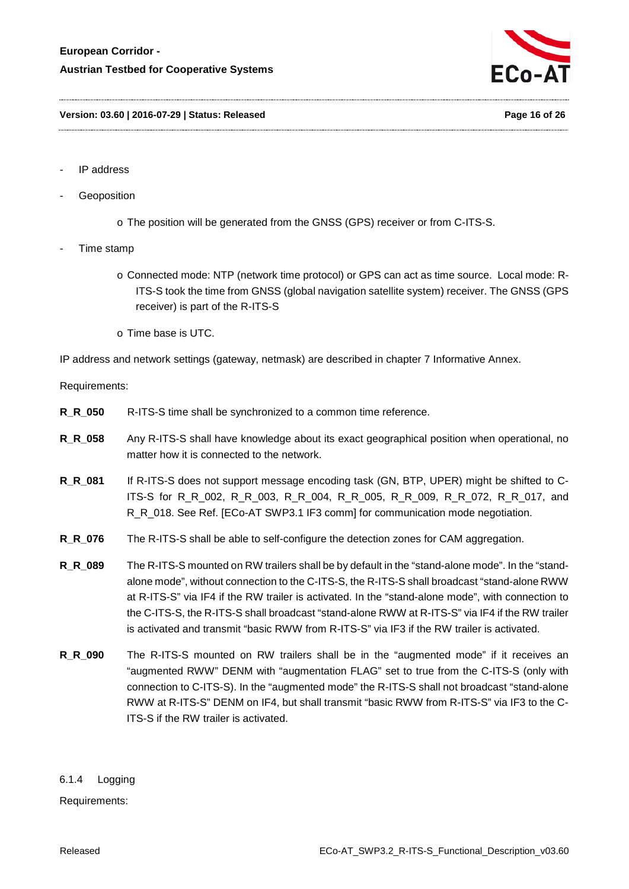

- IP address
- **Geoposition** 
	- o The position will be generated from the GNSS (GPS) receiver or from C-ITS-S.
- Time stamp
	- o Connected mode: NTP (network time protocol) or GPS can act as time source. Local mode: R-ITS-S took the time from GNSS (global navigation satellite system) receiver. The GNSS (GPS receiver) is part of the R-ITS-S
	- o Time base is UTC.

IP address and network settings (gateway, netmask) are described in chapter [7](#page-23-0) Informative Annex.

Requirements:

- **R\_R\_050** R-ITS-S time shall be synchronized to a common time reference.
- **R\_R\_058** Any R-ITS-S shall have knowledge about its exact geographical position when operational, no matter how it is connected to the network.
- **R\_R\_081** If R-ITS-S does not support message encoding task (GN, BTP, UPER) might be shifted to C-ITS-S for R\_R\_002, R\_R\_003, R\_R\_004, R\_R\_005, R\_R\_009, R\_R\_072, R\_R\_017, and R\_R\_018. See Ref. [ECo-AT SWP3.1 IF3 comm] for communication mode negotiation.
- **R\_R\_076** The R-ITS-S shall be able to self-configure the detection zones for CAM aggregation.
- **R\_R\_089** The R-ITS-S mounted on RW trailers shall be by default in the "stand-alone mode". In the "standalone mode", without connection to the C-ITS-S, the R-ITS-S shall broadcast "stand-alone RWW at R-ITS-S" via IF4 if the RW trailer is activated. In the "stand-alone mode", with connection to the C-ITS-S, the R-ITS-S shall broadcast "stand-alone RWW at R-ITS-S" via IF4 if the RW trailer is activated and transmit "basic RWW from R-ITS-S" via IF3 if the RW trailer is activated.
- **R\_R\_090** The R-ITS-S mounted on RW trailers shall be in the "augmented mode" if it receives an "augmented RWW" DENM with "augmentation FLAG" set to true from the C-ITS-S (only with connection to C-ITS-S). In the "augmented mode" the R-ITS-S shall not broadcast "stand-alone RWW at R-ITS-S" DENM on IF4, but shall transmit "basic RWW from R-ITS-S" via IF3 to the C-ITS-S if the RW trailer is activated.

<span id="page-15-0"></span>6.1.4 Logging Requirements: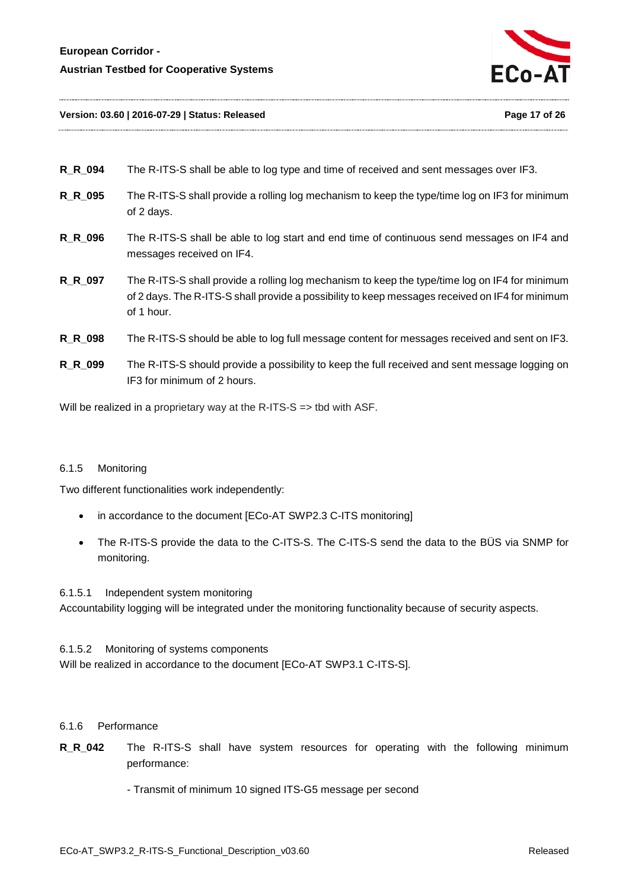

#### **Version: 03.60 | 2016-07-29 | Status: Released Page 17 of 26**

| R R 094        | The R-ITS-S shall be able to log type and time of received and sent messages over IF3.                                                                                                                          |
|----------------|-----------------------------------------------------------------------------------------------------------------------------------------------------------------------------------------------------------------|
| R_R_095        | The R-ITS-S shall provide a rolling log mechanism to keep the type/time log on IF3 for minimum<br>of 2 days.                                                                                                    |
| <b>R_R_096</b> | The R-ITS-S shall be able to log start and end time of continuous send messages on IF4 and<br>messages received on IF4.                                                                                         |
| R R 097        | The R-ITS-S shall provide a rolling log mechanism to keep the type/time log on IF4 for minimum<br>of 2 days. The R-ITS-S shall provide a possibility to keep messages received on IF4 for minimum<br>of 1 hour. |
| <b>R_R_098</b> | The R-ITS-S should be able to log full message content for messages received and sent on IF3.                                                                                                                   |
| R R 099        | The R-ITS-S should provide a possibility to keep the full received and sent message logging on<br>$IF3$ for minimum of 2 hours.                                                                                 |

Will be realized in a proprietary way at the R-ITS-S => tbd with ASF.

#### <span id="page-16-0"></span>6.1.5 Monitoring

Two different functionalities work independently:

- in accordance to the document [ECo-AT SWP2.3 C-ITS monitoring]
- The R-ITS-S provide the data to the C-ITS-S. The C-ITS-S send the data to the BÜS via SNMP for monitoring.

6.1.5.1 Independent system monitoring Accountability logging will be integrated under the monitoring functionality because of security aspects.

6.1.5.2 Monitoring of systems components Will be realized in accordance to the document [ECo-AT SWP3.1 C-ITS-S].

#### <span id="page-16-1"></span>6.1.6 Performance

**R\_R\_042** The R-ITS-S shall have system resources for operating with the following minimum performance:

- Transmit of minimum 10 signed ITS-G5 message per second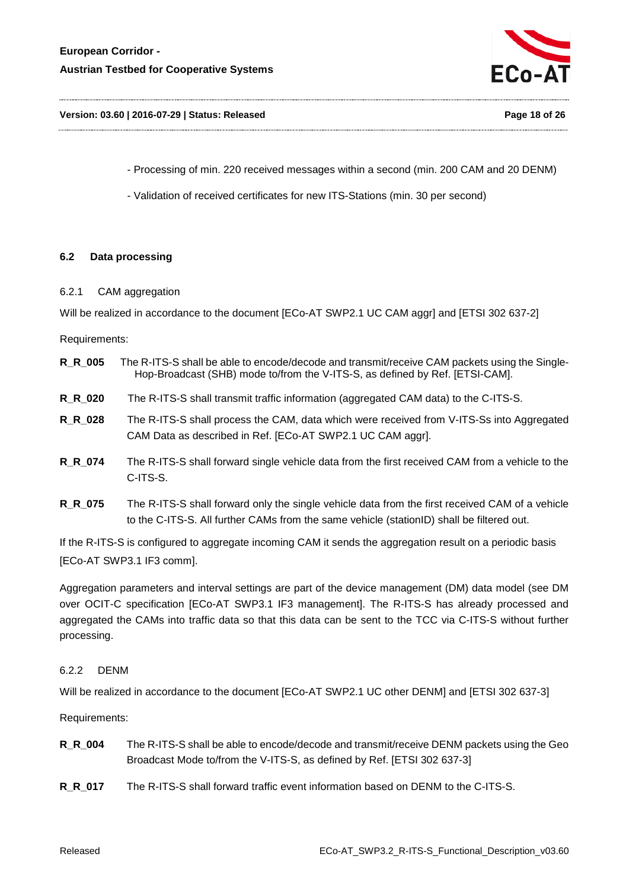

#### **Version: 03.60 | 2016-07-29 | Status: Released Page 18 of 26**

- Processing of min. 220 received messages within a second (min. 200 CAM and 20 DENM)

- Validation of received certificates for new ITS-Stations (min. 30 per second)

#### <span id="page-17-1"></span><span id="page-17-0"></span>**6.2 Data processing**

#### 6.2.1 CAM aggregation

Will be realized in accordance to the document [ECo-AT SWP2.1 UC CAM aggr] and [ETSI 302 637-2]

Requirements:

- **R\_R\_005** The R-ITS-S shall be able to encode/decode and transmit/receive CAM packets using the Single-Hop-Broadcast (SHB) mode to/from the V-ITS-S, as defined by Ref. [ETSI-CAM].
- **R\_R\_020** The R-ITS-S shall transmit traffic information (aggregated CAM data) to the C-ITS-S.
- **R\_R\_028** The R-ITS-S shall process the CAM, data which were received from V-ITS-Ss into Aggregated CAM Data as described in Ref. [ECo-AT SWP2.1 UC CAM aggr].
- **R\_R\_074** The R-ITS-S shall forward single vehicle data from the first received CAM from a vehicle to the C-ITS-S.
- **R\_R\_075** The R-ITS-S shall forward only the single vehicle data from the first received CAM of a vehicle to the C-ITS-S. All further CAMs from the same vehicle (stationID) shall be filtered out.

If the R-ITS-S is configured to aggregate incoming CAM it sends the aggregation result on a periodic basis [ECo-AT SWP3.1 IF3 comm].

Aggregation parameters and interval settings are part of the device management (DM) data model (see DM over OCIT-C specification [ECo-AT SWP3.1 IF3 management]. The R-ITS-S has already processed and aggregated the CAMs into traffic data so that this data can be sent to the TCC via C-ITS-S without further processing.

#### <span id="page-17-2"></span>6.2.2 DENM

Will be realized in accordance to the document [ECo-AT SWP2.1 UC other DENM] and [ETSI 302 637-3]

Requirements:

- **R\_R\_004** The R-ITS-S shall be able to encode/decode and transmit/receive DENM packets using the Geo Broadcast Mode to/from the V-ITS-S, as defined by Ref. [ETSI 302 637-3]
- **R\_R\_017** The R-ITS-S shall forward traffic event information based on DENM to the C-ITS-S.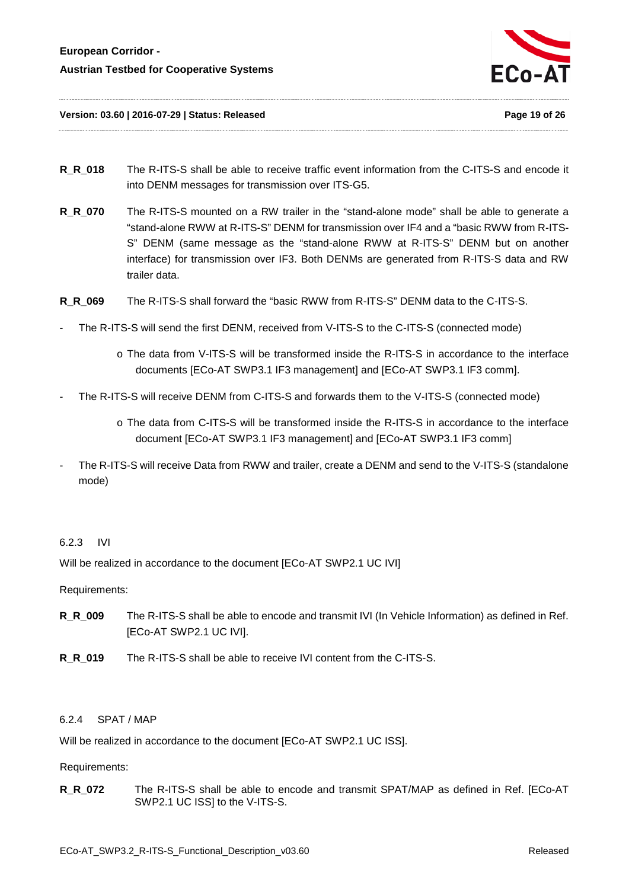

- **R\_R\_018** The R-ITS-S shall be able to receive traffic event information from the C-ITS-S and encode it into DENM messages for transmission over ITS-G5.
- **R\_R\_070** The R-ITS-S mounted on a RW trailer in the "stand-alone mode" shall be able to generate a "stand-alone RWW at R-ITS-S" DENM for transmission over IF4 and a "basic RWW from R-ITS-S" DENM (same message as the "stand-alone RWW at R-ITS-S" DENM but on another interface) for transmission over IF3. Both DENMs are generated from R-ITS-S data and RW trailer data.
- **R\_R\_069** The R-ITS-S shall forward the "basic RWW from R-ITS-S" DENM data to the C-ITS-S.
- The R-ITS-S will send the first DENM, received from V-ITS-S to the C-ITS-S (connected mode)
	- o The data from V-ITS-S will be transformed inside the R-ITS-S in accordance to the interface documents [ECo-AT SWP3.1 IF3 management] and [ECo-AT SWP3.1 IF3 comm].
- The R-ITS-S will receive DENM from C-ITS-S and forwards them to the V-ITS-S (connected mode)
	- o The data from C-ITS-S will be transformed inside the R-ITS-S in accordance to the interface document [ECo-AT SWP3.1 IF3 management] and [ECo-AT SWP3.1 IF3 comm]
- The R-ITS-S will receive Data from RWW and trailer, create a DENM and send to the V-ITS-S (standalone mode)

#### <span id="page-18-0"></span>6.2.3 IVI

Will be realized in accordance to the document [ECo-AT SWP2.1 UC IVI]

Requirements:

- **R\_R\_009** The R-ITS-S shall be able to encode and transmit IVI (In Vehicle Information) as defined in Ref. [ECo-AT SWP2.1 UC IVI].
- **R\_R\_019** The R-ITS-S shall be able to receive IVI content from the C-ITS-S.

#### <span id="page-18-1"></span>6.2.4 SPAT / MAP

Will be realized in accordance to the document [ECo-AT SWP2.1 UC ISS].

Requirements:

**R\_R\_072** The R-ITS-S shall be able to encode and transmit SPAT/MAP as defined in Ref. [ECo-AT SWP2.1 UC ISS] to the V-ITS-S.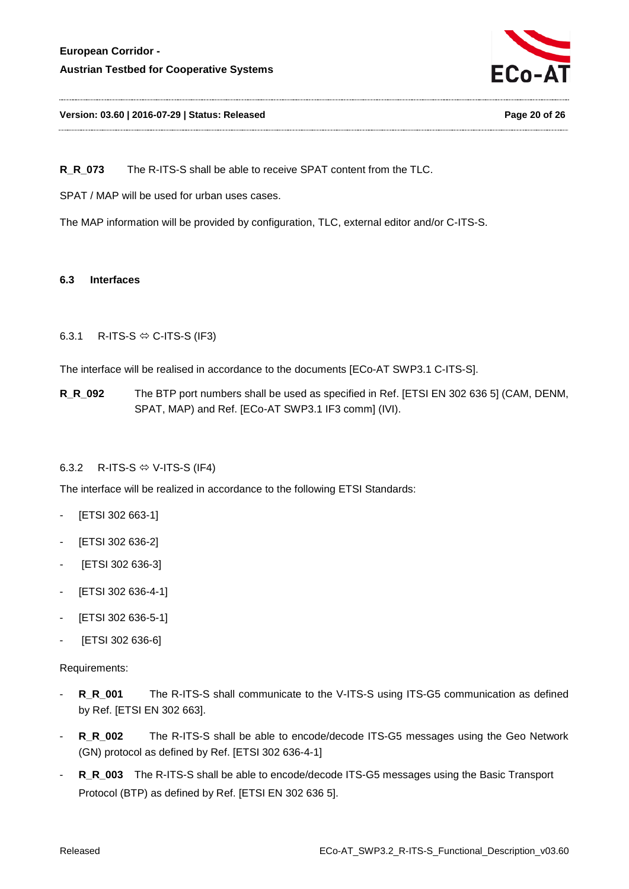

#### **Version: 03.60 | 2016-07-29 | Status: Released Page 20 of 26**

**R\_R\_073** The R-ITS-S shall be able to receive SPAT content from the TLC.

SPAT / MAP will be used for urban uses cases.

The MAP information will be provided by configuration, TLC, external editor and/or C-ITS-S.

#### <span id="page-19-0"></span>**6.3 Interfaces**

#### <span id="page-19-1"></span>6.3.1 R-ITS-S  $\Leftrightarrow$  C-ITS-S (IF3)

The interface will be realised in accordance to the documents [ECo-AT SWP3.1 C-ITS-S].

**R\_R\_092** The BTP port numbers shall be used as specified in Ref. [ETSI EN 302 636 5] (CAM, DENM, SPAT, MAP) and Ref. [ECo-AT SWP3.1 IF3 comm] (IVI).

#### <span id="page-19-2"></span>6.3.2 R-ITS-S  $\Leftrightarrow$  V-ITS-S (IF4)

The interface will be realized in accordance to the following ETSI Standards:

- [ETSI 302 663-1]
- [ETSI 302 636-2]
- [ETSI 302 636-3]
- [ETSI 302 636-4-1]
- [ETSI 302 636-5-1]
- [ETSI 302 636-6]

#### Requirements:

- **R\_R\_001** The R-ITS-S shall communicate to the V-ITS-S using ITS-G5 communication as defined by Ref. [ETSI EN 302 663].
- **R\_R\_002** The R-ITS-S shall be able to encode/decode ITS-G5 messages using the Geo Network (GN) protocol as defined by Ref. [ETSI 302 636-4-1]
- **R\_R\_003** The R-ITS-S shall be able to encode/decode ITS-G5 messages using the Basic Transport Protocol (BTP) as defined by Ref. [ETSI EN 302 636 5].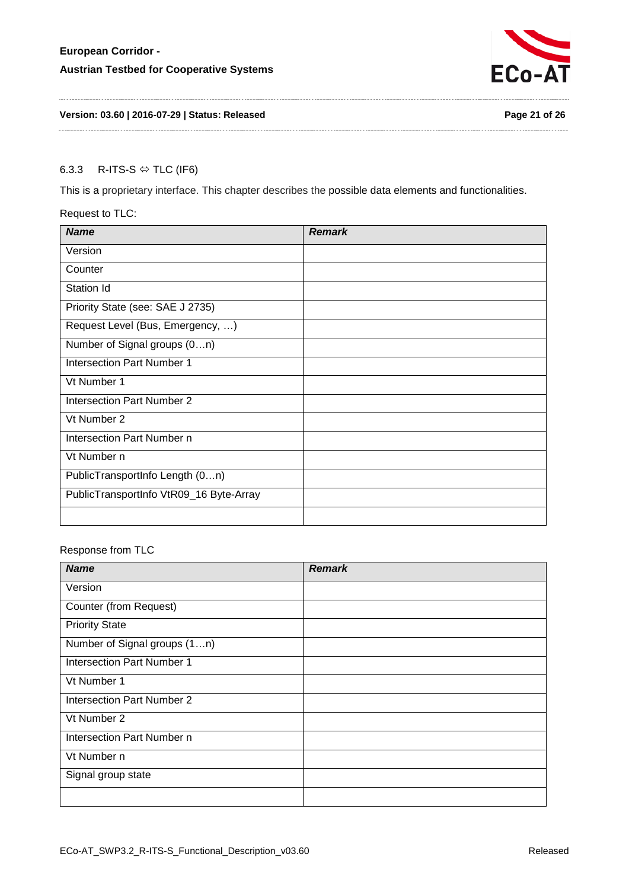

### **Version: 03.60 | 2016-07-29 | Status: Released Page 21 of 26**

## <span id="page-20-0"></span>6.3.3 R-ITS-S  $\Leftrightarrow$  TLC (IF6)

This is a proprietary interface. This chapter describes the possible data elements and functionalities.

#### Request to TLC:

| <b>Name</b>                             | <b>Remark</b> |
|-----------------------------------------|---------------|
| Version                                 |               |
| Counter                                 |               |
| Station Id                              |               |
| Priority State (see: SAE J 2735)        |               |
| Request Level (Bus, Emergency, )        |               |
| Number of Signal groups (0n)            |               |
| Intersection Part Number 1              |               |
| Vt Number 1                             |               |
| Intersection Part Number 2              |               |
| Vt Number 2                             |               |
| Intersection Part Number n              |               |
| Vt Number n                             |               |
| PublicTransportInfo Length (0n)         |               |
| PublicTransportInfo VtR09_16 Byte-Array |               |
|                                         |               |

### Response from TLC

| <b>Name</b>                       | <b>Remark</b> |
|-----------------------------------|---------------|
| Version                           |               |
| Counter (from Request)            |               |
| <b>Priority State</b>             |               |
| Number of Signal groups (1n)      |               |
| <b>Intersection Part Number 1</b> |               |
| Vt Number 1                       |               |
| <b>Intersection Part Number 2</b> |               |
| Vt Number 2                       |               |
| Intersection Part Number n        |               |
| Vt Number n                       |               |
| Signal group state                |               |
|                                   |               |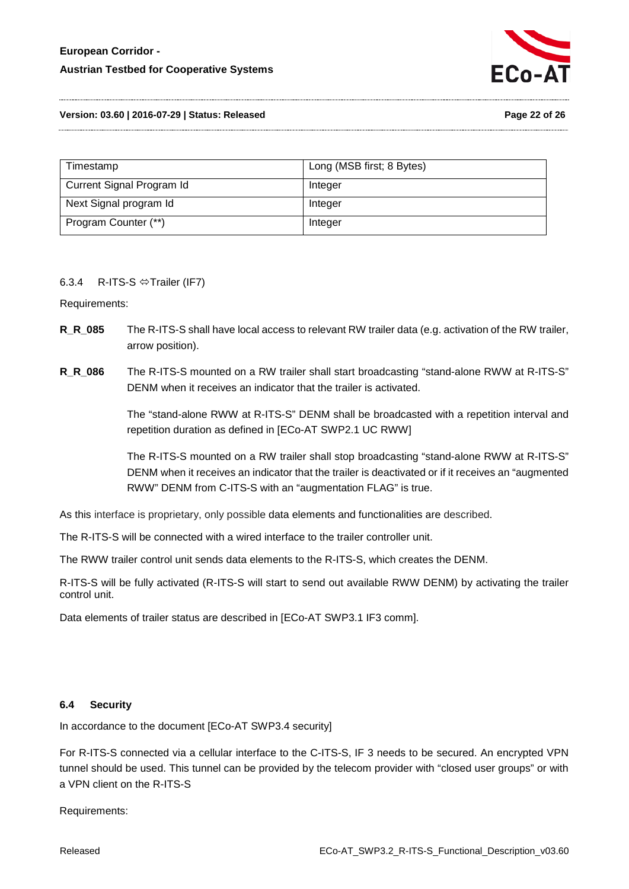

**Version: 03.60 | 2016-07-29 | Status: Released Page 22 of 26**

| Timestamp                 | Long (MSB first; 8 Bytes) |
|---------------------------|---------------------------|
| Current Signal Program Id | Integer                   |
| Next Signal program Id    | Integer                   |
| Program Counter (**)      | Integer                   |

#### <span id="page-21-0"></span>6.3.4 R-ITS-S  $\Leftrightarrow$  Trailer (IF7)

Requirements:

- **R\_R\_085** The R-ITS-S shall have local access to relevant RW trailer data (e.g. activation of the RW trailer, arrow position).
- **R\_R\_086** The R-ITS-S mounted on a RW trailer shall start broadcasting "stand-alone RWW at R-ITS-S" DENM when it receives an indicator that the trailer is activated.

The "stand-alone RWW at R-ITS-S" DENM shall be broadcasted with a repetition interval and repetition duration as defined in [ECo-AT SWP2.1 UC RWW]

The R-ITS-S mounted on a RW trailer shall stop broadcasting "stand-alone RWW at R-ITS-S" DENM when it receives an indicator that the trailer is deactivated or if it receives an "augmented RWW" DENM from C-ITS-S with an "augmentation FLAG" is true.

As this interface is proprietary, only possible data elements and functionalities are described.

The R-ITS-S will be connected with a wired interface to the trailer controller unit.

The RWW trailer control unit sends data elements to the R-ITS-S, which creates the DENM.

R-ITS-S will be fully activated (R-ITS-S will start to send out available RWW DENM) by activating the trailer control unit.

Data elements of trailer status are described in [ECo-AT SWP3.1 IF3 comm].

#### <span id="page-21-1"></span>**6.4 Security**

In accordance to the document [ECo-AT SWP3.4 security]

For R-ITS-S connected via a cellular interface to the C-ITS-S, IF 3 needs to be secured. An encrypted VPN tunnel should be used. This tunnel can be provided by the telecom provider with "closed user groups" or with a VPN client on the R-ITS-S

Requirements: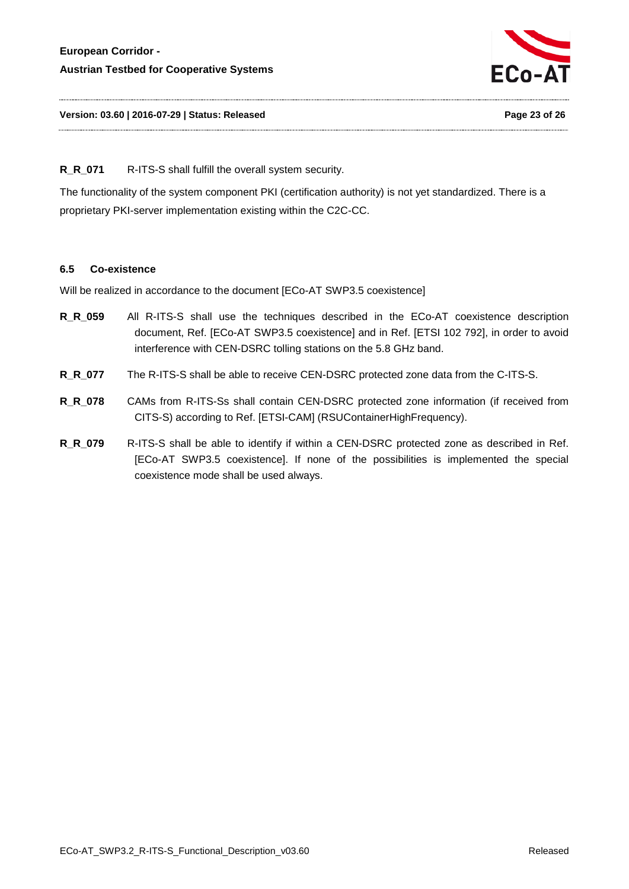

### **R\_R\_071** R-ITS-S shall fulfill the overall system security.

The functionality of the system component PKI (certification authority) is not yet standardized. There is a proprietary PKI-server implementation existing within the C2C-CC.

#### <span id="page-22-0"></span>**6.5 Co-existence**

Will be realized in accordance to the document [ECo-AT SWP3.5 coexistence]

- **R\_R\_059** All R-ITS-S shall use the techniques described in the ECo-AT coexistence description document, Ref. [ECo-AT SWP3.5 coexistence] and in Ref. [ETSI 102 792], in order to avoid interference with CEN-DSRC tolling stations on the 5.8 GHz band.
- **R\_R\_077** The R-ITS-S shall be able to receive CEN-DSRC protected zone data from the C-ITS-S.
- **R\_R\_078** CAMs from R-ITS-Ss shall contain CEN-DSRC protected zone information (if received from CITS-S) according to Ref. [ETSI-CAM] (RSUContainerHighFrequency).
- **R\_R\_079** R-ITS-S shall be able to identify if within a CEN-DSRC protected zone as described in Ref. [ECo-AT SWP3.5 coexistence]. If none of the possibilities is implemented the special coexistence mode shall be used always.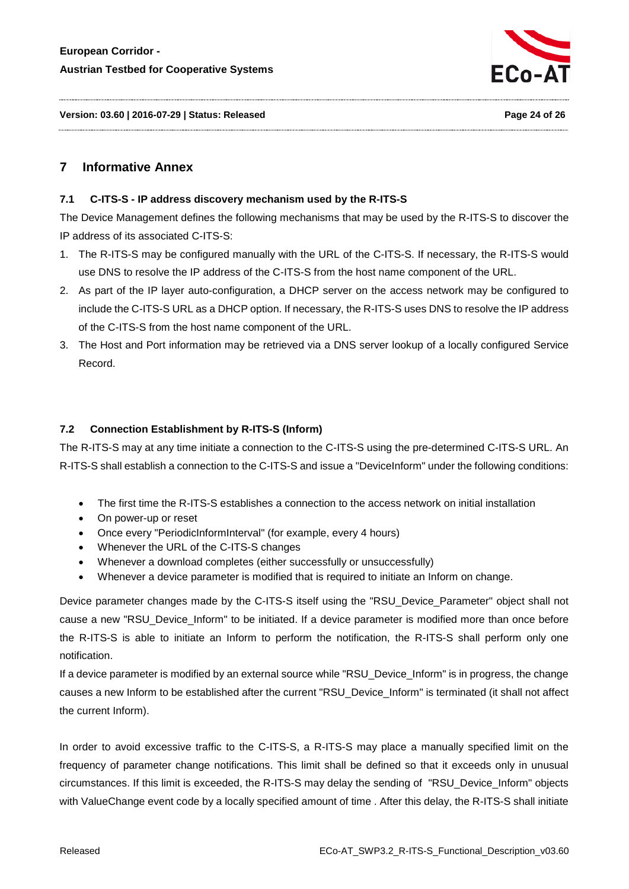

**Version: 03.60 | 2016-07-29 | Status: Released Page 24 of 26**

# <span id="page-23-1"></span><span id="page-23-0"></span>**7 Informative Annex**

#### **7.1 C-ITS-S - IP address discovery mechanism used by the R-ITS-S**

The Device Management defines the following mechanisms that may be used by the R-ITS-S to discover the IP address of its associated C-ITS-S:

- 1. The R-ITS-S may be configured manually with the URL of the C-ITS-S. If necessary, the R-ITS-S would use DNS to resolve the IP address of the C-ITS-S from the host name component of the URL.
- 2. As part of the IP layer auto-configuration, a DHCP server on the access network may be configured to include the C-ITS-S URL as a DHCP option. If necessary, the R-ITS-S uses DNS to resolve the IP address of the C-ITS-S from the host name component of the URL.
- 3. The Host and Port information may be retrieved via a DNS server lookup of a locally configured Service Record.

## <span id="page-23-2"></span>**7.2 Connection Establishment by R-ITS-S (Inform)**

The R-ITS-S may at any time initiate a connection to the C-ITS-S using the pre-determined C-ITS-S URL. An R-ITS-S shall establish a connection to the C-ITS-S and issue a "DeviceInform" under the following conditions:

- The first time the R-ITS-S establishes a connection to the access network on initial installation
- On power-up or reset
- Once every "PeriodicInformInterval" (for example, every 4 hours)
- Whenever the URL of the C-ITS-S changes
- Whenever a download completes (either successfully or unsuccessfully)
- Whenever a device parameter is modified that is required to initiate an Inform on change.

Device parameter changes made by the C-ITS-S itself using the "RSU\_Device\_Parameter" object shall not cause a new "RSU\_Device\_Inform" to be initiated. If a device parameter is modified more than once before the R-ITS-S is able to initiate an Inform to perform the notification, the R-ITS-S shall perform only one notification.

If a device parameter is modified by an external source while "RSU\_Device\_Inform" is in progress, the change causes a new Inform to be established after the current "RSU\_Device\_Inform" is terminated (it shall not affect the current Inform).

In order to avoid excessive traffic to the C-ITS-S, a R-ITS-S may place a manually specified limit on the frequency of parameter change notifications. This limit shall be defined so that it exceeds only in unusual circumstances. If this limit is exceeded, the R-ITS-S may delay the sending of "RSU\_Device\_Inform" objects with ValueChange event code by a locally specified amount of time . After this delay, the R-ITS-S shall initiate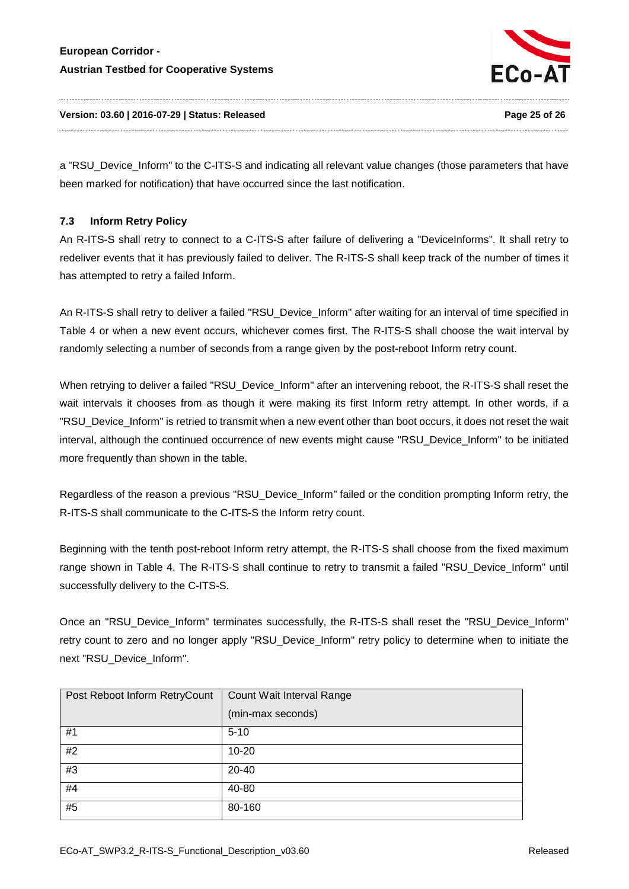

a "RSU\_Device\_Inform" to the C-ITS-S and indicating all relevant value changes (those parameters that have been marked for notification) that have occurred since the last notification.

# <span id="page-24-0"></span>**7.3 Inform Retry Policy**

An R-ITS-S shall retry to connect to a C-ITS-S after failure of delivering a "DeviceInforms". It shall retry to redeliver events that it has previously failed to deliver. The R-ITS-S shall keep track of the number of times it has attempted to retry a failed Inform.

An R-ITS-S shall retry to deliver a failed "RSU\_Device\_Inform" after waiting for an interval of time specified in [Table 4](#page-25-1) or when a new event occurs, whichever comes first. The R-ITS-S shall choose the wait interval by randomly selecting a number of seconds from a range given by the post-reboot Inform retry count.

When retrying to deliver a failed "RSU\_Device\_Inform" after an intervening reboot, the R-ITS-S shall reset the wait intervals it chooses from as though it were making its first Inform retry attempt. In other words, if a "RSU\_Device\_Inform" is retried to transmit when a new event other than boot occurs, it does not reset the wait interval, although the continued occurrence of new events might cause "RSU\_Device\_Inform" to be initiated more frequently than shown in the table.

Regardless of the reason a previous "RSU\_Device\_Inform" failed or the condition prompting Inform retry, the R-ITS-S shall communicate to the C-ITS-S the Inform retry count.

Beginning with the tenth post-reboot Inform retry attempt, the R-ITS-S shall choose from the fixed maximum range shown in [Table 4.](#page-25-1) The R-ITS-S shall continue to retry to transmit a failed "RSU\_Device\_Inform" until successfully delivery to the C-ITS-S.

Once an "RSU\_Device\_Inform" terminates successfully, the R-ITS-S shall reset the "RSU\_Device\_Inform" retry count to zero and no longer apply "RSU\_Device\_Inform" retry policy to determine when to initiate the next "RSU\_Device\_Inform".

| Post Reboot Inform RetryCount | Count Wait Interval Range |
|-------------------------------|---------------------------|
|                               | (min-max seconds)         |
| #1                            | $5 - 10$                  |
| #2                            | $10 - 20$                 |
| #3                            | 20-40                     |
| #4                            | 40-80                     |
| #5                            | 80-160                    |